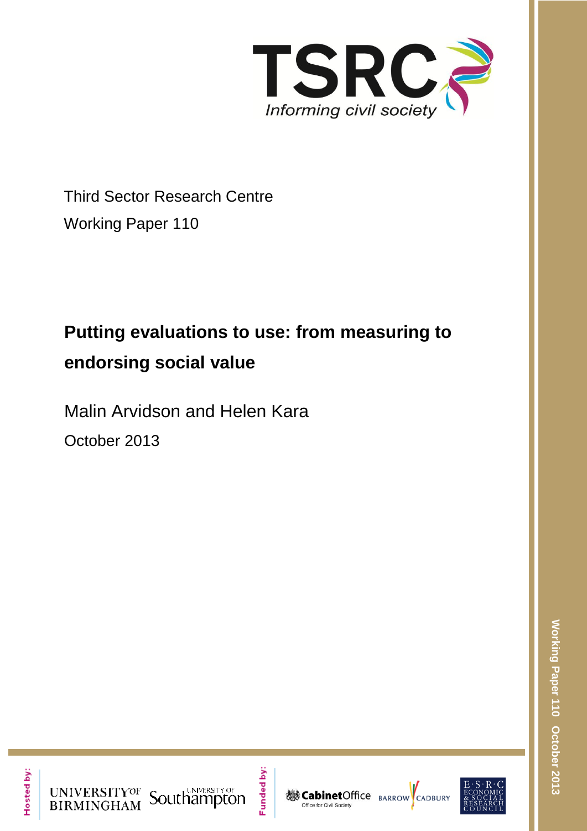

Third Sector Research Centre Working Paper 110

# **Putting evaluations to use: from measuring to endorsing social value**

Malin Arvidson and Helen Kara

October 2013



UNIVERSITYOF Southampton

Funded by:



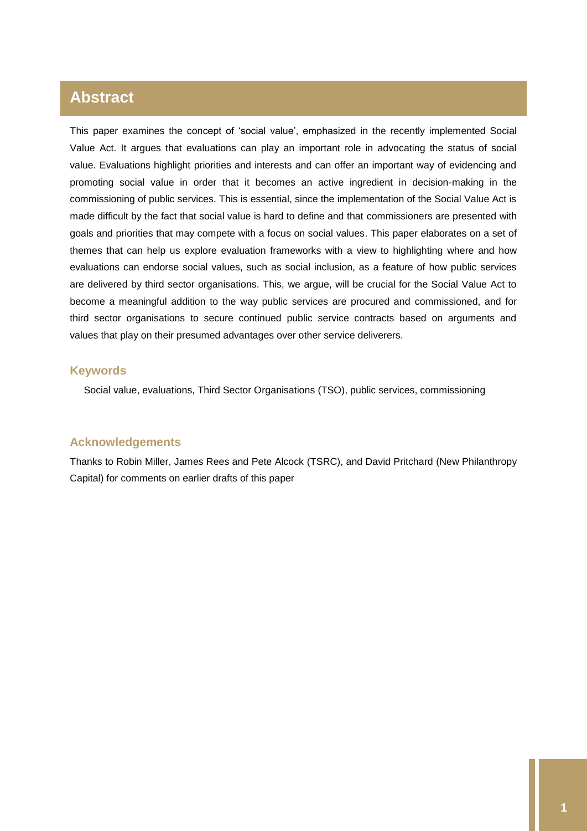## **Abstract**

This paper examines the concept of 'social value', emphasized in the recently implemented Social Value Act. It argues that evaluations can play an important role in advocating the status of social value. Evaluations highlight priorities and interests and can offer an important way of evidencing and promoting social value in order that it becomes an active ingredient in decision-making in the commissioning of public services. This is essential, since the implementation of the Social Value Act is made difficult by the fact that social value is hard to define and that commissioners are presented with goals and priorities that may compete with a focus on social values. This paper elaborates on a set of themes that can help us explore evaluation frameworks with a view to highlighting where and how evaluations can endorse social values, such as social inclusion, as a feature of how public services are delivered by third sector organisations. This, we argue, will be crucial for the Social Value Act to become a meaningful addition to the way public services are procured and commissioned, and for third sector organisations to secure continued public service contracts based on arguments and values that play on their presumed advantages over other service deliverers.

## **Keywords**

Social value, evaluations, Third Sector Organisations (TSO), public services, commissioning

## **Acknowledgements**

Thanks to Robin Miller, James Rees and Pete Alcock (TSRC), and David Pritchard (New Philanthropy Capital) for comments on earlier drafts of this paper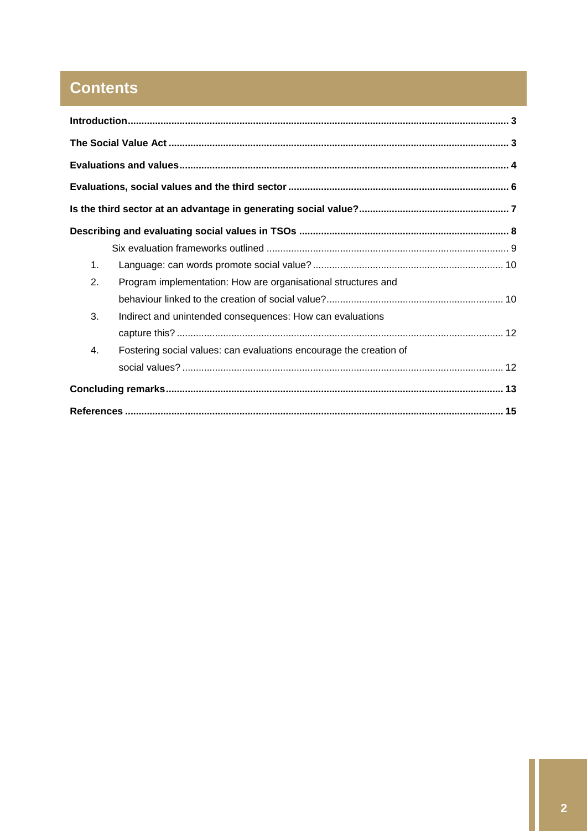## **Contents**

| 1. |                                                                    |  |
|----|--------------------------------------------------------------------|--|
| 2. | Program implementation: How are organisational structures and      |  |
|    |                                                                    |  |
| 3. | Indirect and unintended consequences: How can evaluations          |  |
|    |                                                                    |  |
| 4. | Fostering social values: can evaluations encourage the creation of |  |
|    |                                                                    |  |
|    |                                                                    |  |
|    |                                                                    |  |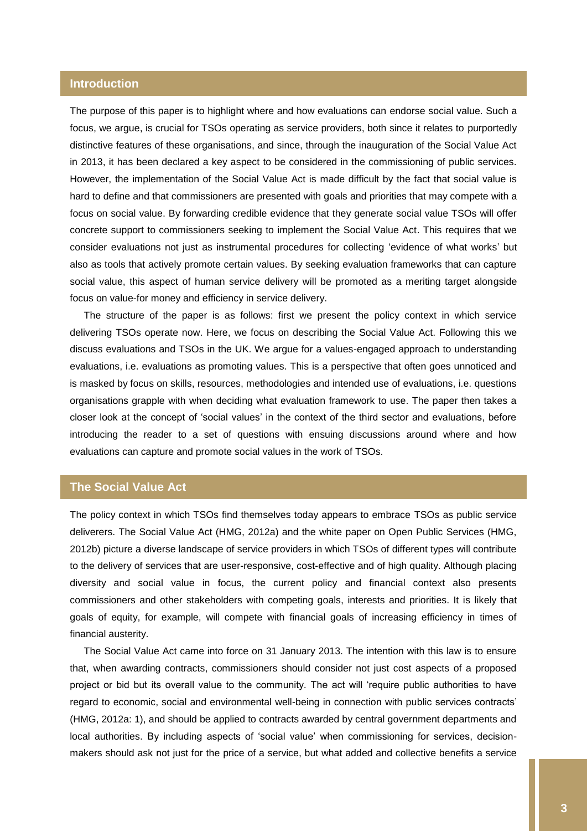## <span id="page-3-0"></span>**Introduction**

The purpose of this paper is to highlight where and how evaluations can endorse social value. Such a focus, we argue, is crucial for TSOs operating as service providers, both since it relates to purportedly distinctive features of these organisations, and since, through the inauguration of the Social Value Act in 2013, it has been declared a key aspect to be considered in the commissioning of public services. However, the implementation of the Social Value Act is made difficult by the fact that social value is hard to define and that commissioners are presented with goals and priorities that may compete with a focus on social value. By forwarding credible evidence that they generate social value TSOs will offer concrete support to commissioners seeking to implement the Social Value Act. This requires that we consider evaluations not just as instrumental procedures for collecting 'evidence of what works' but also as tools that actively promote certain values. By seeking evaluation frameworks that can capture social value, this aspect of human service delivery will be promoted as a meriting target alongside focus on value-for money and efficiency in service delivery.

The structure of the paper is as follows: first we present the policy context in which service delivering TSOs operate now. Here, we focus on describing the Social Value Act. Following this we discuss evaluations and TSOs in the UK. We argue for a values-engaged approach to understanding evaluations, i.e. evaluations as promoting values. This is a perspective that often goes unnoticed and is masked by focus on skills, resources, methodologies and intended use of evaluations, i.e. questions organisations grapple with when deciding what evaluation framework to use. The paper then takes a closer look at the concept of 'social values' in the context of the third sector and evaluations, before introducing the reader to a set of questions with ensuing discussions around where and how evaluations can capture and promote social values in the work of TSOs.

## <span id="page-3-1"></span>**The Social Value Act**

The policy context in which TSOs find themselves today appears to embrace TSOs as public service deliverers. The Social Value Act (HMG, 2012a) and the white paper on Open Public Services (HMG, 2012b) picture a diverse landscape of service providers in which TSOs of different types will contribute to the delivery of services that are user-responsive, cost-effective and of high quality. Although placing diversity and social value in focus, the current policy and financial context also presents commissioners and other stakeholders with competing goals, interests and priorities. It is likely that goals of equity, for example, will compete with financial goals of increasing efficiency in times of financial austerity.

The Social Value Act came into force on 31 January 2013. The intention with this law is to ensure that, when awarding contracts, commissioners should consider not just cost aspects of a proposed project or bid but its overall value to the community. The act will 'require public authorities to have regard to economic, social and environmental well-being in connection with public services contracts' (HMG, 2012a: 1), and should be applied to contracts awarded by central government departments and local authorities. By including aspects of 'social value' when commissioning for services, decisionmakers should ask not just for the price of a service, but what added and collective benefits a service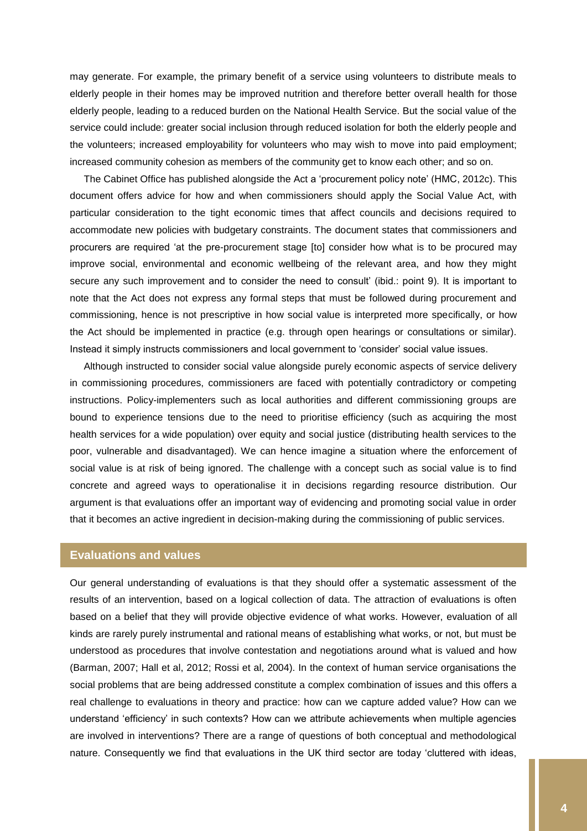may generate. For example, the primary benefit of a service using volunteers to distribute meals to elderly people in their homes may be improved nutrition and therefore better overall health for those elderly people, leading to a reduced burden on the National Health Service. But the social value of the service could include: greater social inclusion through reduced isolation for both the elderly people and the volunteers; increased employability for volunteers who may wish to move into paid employment; increased community cohesion as members of the community get to know each other; and so on.

The Cabinet Office has published alongside the Act a 'procurement policy note' (HMC, 2012c). This document offers advice for how and when commissioners should apply the Social Value Act, with particular consideration to the tight economic times that affect councils and decisions required to accommodate new policies with budgetary constraints. The document states that commissioners and procurers are required 'at the pre-procurement stage [to] consider how what is to be procured may improve social, environmental and economic wellbeing of the relevant area, and how they might secure any such improvement and to consider the need to consult' (ibid.: point 9). It is important to note that the Act does not express any formal steps that must be followed during procurement and commissioning, hence is not prescriptive in how social value is interpreted more specifically, or how the Act should be implemented in practice (e.g. through open hearings or consultations or similar). Instead it simply instructs commissioners and local government to 'consider' social value issues.

Although instructed to consider social value alongside purely economic aspects of service delivery in commissioning procedures, commissioners are faced with potentially contradictory or competing instructions. Policy-implementers such as local authorities and different commissioning groups are bound to experience tensions due to the need to prioritise efficiency (such as acquiring the most health services for a wide population) over equity and social justice (distributing health services to the poor, vulnerable and disadvantaged). We can hence imagine a situation where the enforcement of social value is at risk of being ignored. The challenge with a concept such as social value is to find concrete and agreed ways to operationalise it in decisions regarding resource distribution. Our argument is that evaluations offer an important way of evidencing and promoting social value in order that it becomes an active ingredient in decision-making during the commissioning of public services.

#### <span id="page-4-0"></span>**Evaluations and values**

Our general understanding of evaluations is that they should offer a systematic assessment of the results of an intervention, based on a logical collection of data. The attraction of evaluations is often based on a belief that they will provide objective evidence of what works. However, evaluation of all kinds are rarely purely instrumental and rational means of establishing what works, or not, but must be understood as procedures that involve contestation and negotiations around what is valued and how (Barman, 2007; Hall et al, 2012; Rossi et al, 2004). In the context of human service organisations the social problems that are being addressed constitute a complex combination of issues and this offers a real challenge to evaluations in theory and practice: how can we capture added value? How can we understand 'efficiency' in such contexts? How can we attribute achievements when multiple agencies are involved in interventions? There are a range of questions of both conceptual and methodological nature. Consequently we find that evaluations in the UK third sector are today 'cluttered with ideas,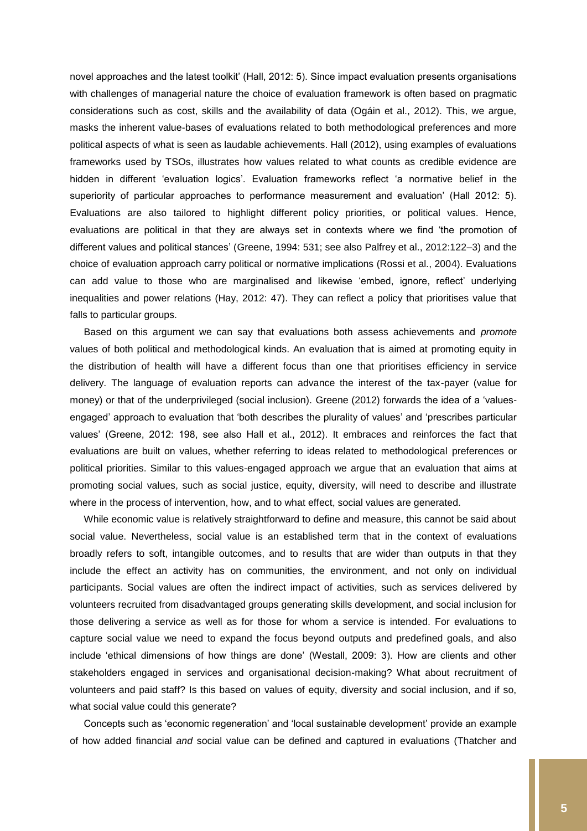novel approaches and the latest toolkit' (Hall, 2012: 5). Since impact evaluation presents organisations with challenges of managerial nature the choice of evaluation framework is often based on pragmatic considerations such as cost, skills and the availability of data (Ogáin et al., 2012). This, we argue, masks the inherent value-bases of evaluations related to both methodological preferences and more political aspects of what is seen as laudable achievements. Hall (2012), using examples of evaluations frameworks used by TSOs, illustrates how values related to what counts as credible evidence are hidden in different 'evaluation logics'. Evaluation frameworks reflect 'a normative belief in the superiority of particular approaches to performance measurement and evaluation' (Hall 2012: 5). Evaluations are also tailored to highlight different policy priorities, or political values. Hence, evaluations are political in that they are always set in contexts where we find 'the promotion of different values and political stances' (Greene, 1994: 531; see also Palfrey et al., 2012:122–3) and the choice of evaluation approach carry political or normative implications (Rossi et al., 2004). Evaluations can add value to those who are marginalised and likewise 'embed, ignore, reflect' underlying inequalities and power relations (Hay, 2012: 47). They can reflect a policy that prioritises value that falls to particular groups.

Based on this argument we can say that evaluations both assess achievements and *promote* values of both political and methodological kinds. An evaluation that is aimed at promoting equity in the distribution of health will have a different focus than one that prioritises efficiency in service delivery. The language of evaluation reports can advance the interest of the tax-payer (value for money) or that of the underprivileged (social inclusion). Greene (2012) forwards the idea of a 'valuesengaged' approach to evaluation that 'both describes the plurality of values' and 'prescribes particular values' (Greene, 2012: 198, see also Hall et al., 2012). It embraces and reinforces the fact that evaluations are built on values, whether referring to ideas related to methodological preferences or political priorities. Similar to this values-engaged approach we argue that an evaluation that aims at promoting social values, such as social justice, equity, diversity, will need to describe and illustrate where in the process of intervention, how, and to what effect, social values are generated.

While economic value is relatively straightforward to define and measure, this cannot be said about social value. Nevertheless, social value is an established term that in the context of evaluations broadly refers to soft, intangible outcomes, and to results that are wider than outputs in that they include the effect an activity has on communities, the environment, and not only on individual participants. Social values are often the indirect impact of activities, such as services delivered by volunteers recruited from disadvantaged groups generating skills development, and social inclusion for those delivering a service as well as for those for whom a service is intended. For evaluations to capture social value we need to expand the focus beyond outputs and predefined goals, and also include 'ethical dimensions of how things are done' (Westall, 2009: 3). How are clients and other stakeholders engaged in services and organisational decision-making? What about recruitment of volunteers and paid staff? Is this based on values of equity, diversity and social inclusion, and if so, what social value could this generate?

Concepts such as 'economic regeneration' and 'local sustainable development' provide an example of how added financial *and* social value can be defined and captured in evaluations (Thatcher and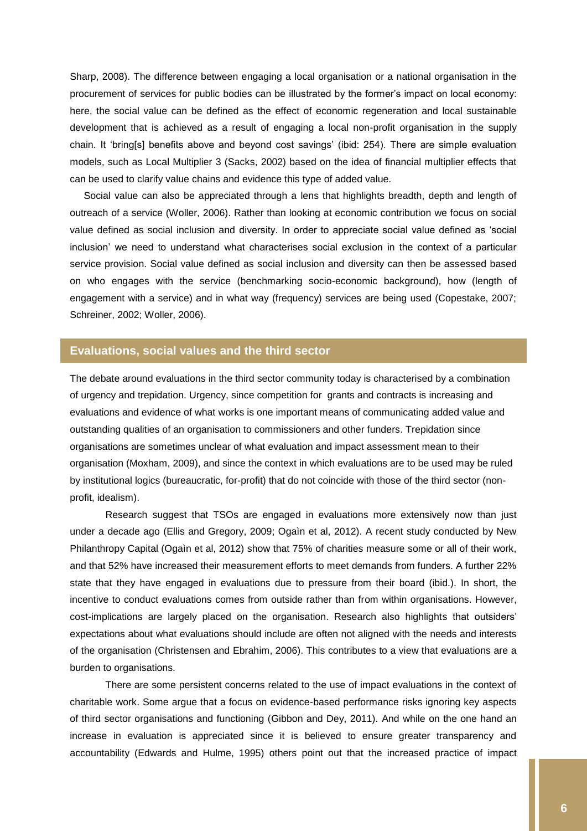Sharp, 2008). The difference between engaging a local organisation or a national organisation in the procurement of services for public bodies can be illustrated by the former's impact on local economy: here, the social value can be defined as the effect of economic regeneration and local sustainable development that is achieved as a result of engaging a local non-profit organisation in the supply chain. It 'bring[s] benefits above and beyond cost savings' (ibid: 254). There are simple evaluation models, such as Local Multiplier 3 (Sacks, 2002) based on the idea of financial multiplier effects that can be used to clarify value chains and evidence this type of added value.

Social value can also be appreciated through a lens that highlights breadth, depth and length of outreach of a service (Woller, 2006). Rather than looking at economic contribution we focus on social value defined as social inclusion and diversity. In order to appreciate social value defined as 'social inclusion' we need to understand what characterises social exclusion in the context of a particular service provision. Social value defined as social inclusion and diversity can then be assessed based on who engages with the service (benchmarking socio-economic background), how (length of engagement with a service) and in what way (frequency) services are being used (Copestake, 2007; Schreiner, 2002; Woller, 2006).

## <span id="page-6-0"></span>**Evaluations, social values and the third sector**

The debate around evaluations in the third sector community today is characterised by a combination of urgency and trepidation. Urgency, since competition for grants and contracts is increasing and evaluations and evidence of what works is one important means of communicating added value and outstanding qualities of an organisation to commissioners and other funders. Trepidation since organisations are sometimes unclear of what evaluation and impact assessment mean to their organisation (Moxham, 2009), and since the context in which evaluations are to be used may be ruled by institutional logics (bureaucratic, for-profit) that do not coincide with those of the third sector (nonprofit, idealism).

Research suggest that TSOs are engaged in evaluations more extensively now than just under a decade ago (Ellis and Gregory, 2009; Ogaìn et al, 2012). A recent study conducted by New Philanthropy Capital (Ogaìn et al, 2012) show that 75% of charities measure some or all of their work, and that 52% have increased their measurement efforts to meet demands from funders. A further 22% state that they have engaged in evaluations due to pressure from their board (ibid.). In short, the incentive to conduct evaluations comes from outside rather than from within organisations. However, cost-implications are largely placed on the organisation. Research also highlights that outsiders' expectations about what evaluations should include are often not aligned with the needs and interests of the organisation (Christensen and Ebrahim, 2006). This contributes to a view that evaluations are a burden to organisations.

There are some persistent concerns related to the use of impact evaluations in the context of charitable work. Some argue that a focus on evidence-based performance risks ignoring key aspects of third sector organisations and functioning (Gibbon and Dey, 2011). And while on the one hand an increase in evaluation is appreciated since it is believed to ensure greater transparency and accountability (Edwards and Hulme, 1995) others point out that the increased practice of impact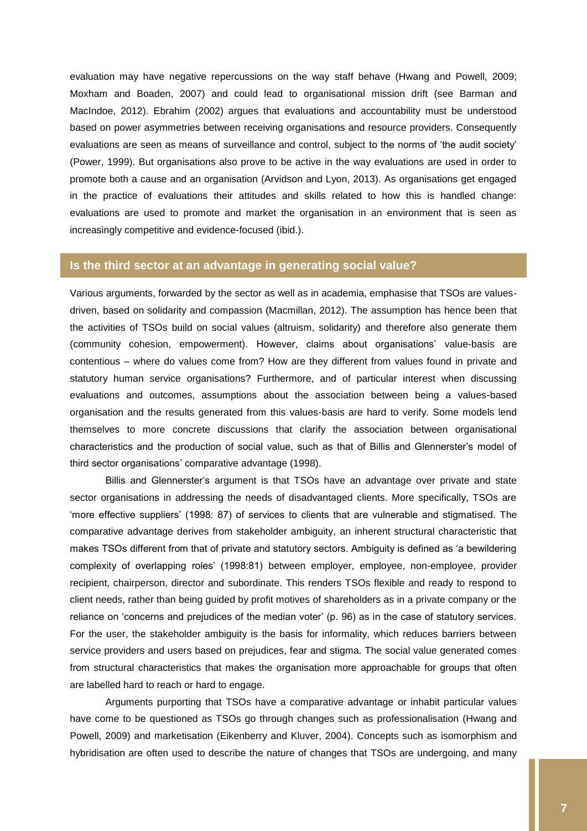evaluation may have negative repercussions on the way staff behave (Hwang and Powell, 2009; Moxham and Boaden, 2007) and could lead to organisational mission drift (see Barman and MacIndoe, 2012). Ebrahim (2002) argues that evaluations and accountability must be understood based on power asymmetries between receiving organisations and resource providers. Consequently evaluations are seen as means of surveillance and control, subject to the norms of 'the audit society' (Power, 1999). But organisations also prove to be active in the way evaluations are used in order to promote both a cause and an organisation (Arvidson and Lyon, 2013). As organisations get engaged in the practice of evaluations their attitudes and skills related to how this is handled change: evaluations are used to promote and market the organisation in an environment that is seen as increasingly competitive and evidence-focused (ibid.).

#### <span id="page-7-0"></span>**Is the third sector at an advantage in generating social value?**

Various arguments, forwarded by the sector as well as in academia, emphasise that TSOs are valuesdriven, based on solidarity and compassion (Macmillan, 2012). The assumption has hence been that the activities of TSOs build on social values (altruism, solidarity) and therefore also generate them (community cohesion, empowerment). However, claims about organisations' value-basis are contentious – where do values come from? How are they different from values found in private and statutory human service organisations? Furthermore, and of particular interest when discussing evaluations and outcomes, assumptions about the association between being a values-based organisation and the results generated from this values-basis are hard to verify. Some models lend themselves to more concrete discussions that clarify the association between organisational characteristics and the production of social value, such as that of Billis and Glennerster's model of third sector organisations' comparative advantage (1998).

Billis and Glennerster's argument is that TSOs have an advantage over private and state sector organisations in addressing the needs of disadvantaged clients. More specifically, TSOs are 'more effective suppliers' (1998: 87) of services to clients that are vulnerable and stigmatised. The comparative advantage derives from stakeholder ambiguity, an inherent structural characteristic that makes TSOs different from that of private and statutory sectors. Ambiguity is defined as 'a bewildering complexity of overlapping roles' (1998:81) between employer, employee, non-employee, provider recipient, chairperson, director and subordinate. This renders TSOs flexible and ready to respond to client needs, rather than being guided by profit motives of shareholders as in a private company or the reliance on 'concerns and prejudices of the median voter' (p. 96) as in the case of statutory services. For the user, the stakeholder ambiguity is the basis for informality, which reduces barriers between service providers and users based on prejudices, fear and stigma. The social value generated comes from structural characteristics that makes the organisation more approachable for groups that often are labelled hard to reach or hard to engage.

Arguments purporting that TSOs have a comparative advantage or inhabit particular values have come to be questioned as TSOs go through changes such as professionalisation (Hwang and Powell, 2009) and marketisation (Eikenberry and Kluver, 2004). Concepts such as isomorphism and hybridisation are often used to describe the nature of changes that TSOs are undergoing, and many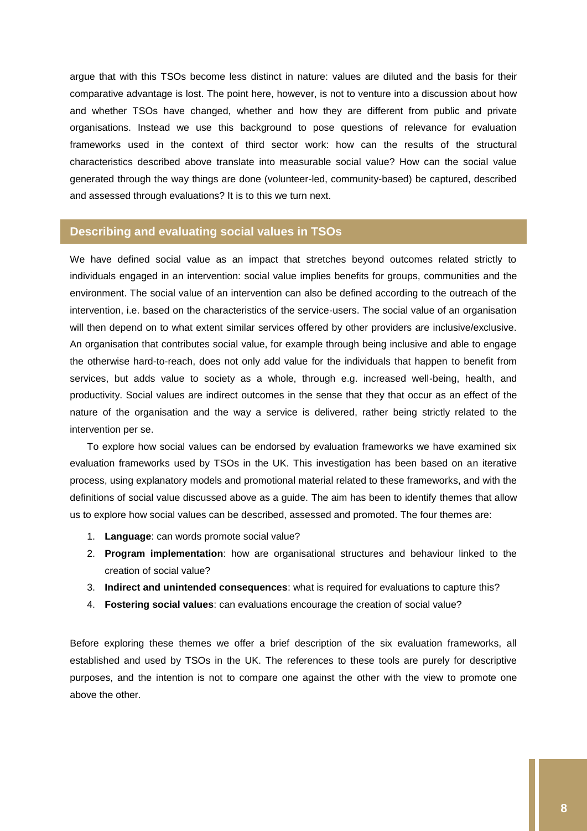argue that with this TSOs become less distinct in nature: values are diluted and the basis for their comparative advantage is lost. The point here, however, is not to venture into a discussion about how and whether TSOs have changed, whether and how they are different from public and private organisations. Instead we use this background to pose questions of relevance for evaluation frameworks used in the context of third sector work: how can the results of the structural characteristics described above translate into measurable social value? How can the social value generated through the way things are done (volunteer-led, community-based) be captured, described and assessed through evaluations? It is to this we turn next.

#### <span id="page-8-0"></span>**Describing and evaluating social values in TSOs**

We have defined social value as an impact that stretches beyond outcomes related strictly to individuals engaged in an intervention: social value implies benefits for groups, communities and the environment. The social value of an intervention can also be defined according to the outreach of the intervention, i.e. based on the characteristics of the service-users. The social value of an organisation will then depend on to what extent similar services offered by other providers are inclusive/exclusive. An organisation that contributes social value, for example through being inclusive and able to engage the otherwise hard-to-reach, does not only add value for the individuals that happen to benefit from services, but adds value to society as a whole, through e.g. increased well-being, health, and productivity. Social values are indirect outcomes in the sense that they that occur as an effect of the nature of the organisation and the way a service is delivered, rather being strictly related to the intervention per se.

To explore how social values can be endorsed by evaluation frameworks we have examined six evaluation frameworks used by TSOs in the UK. This investigation has been based on an iterative process, using explanatory models and promotional material related to these frameworks, and with the definitions of social value discussed above as a guide. The aim has been to identify themes that allow us to explore how social values can be described, assessed and promoted. The four themes are:

- 1. **Language**: can words promote social value?
- 2. **Program implementation**: how are organisational structures and behaviour linked to the creation of social value?
- 3. **Indirect and unintended consequences**: what is required for evaluations to capture this?
- 4. **Fostering social values**: can evaluations encourage the creation of social value?

Before exploring these themes we offer a brief description of the six evaluation frameworks, all established and used by TSOs in the UK. The references to these tools are purely for descriptive purposes, and the intention is not to compare one against the other with the view to promote one above the other.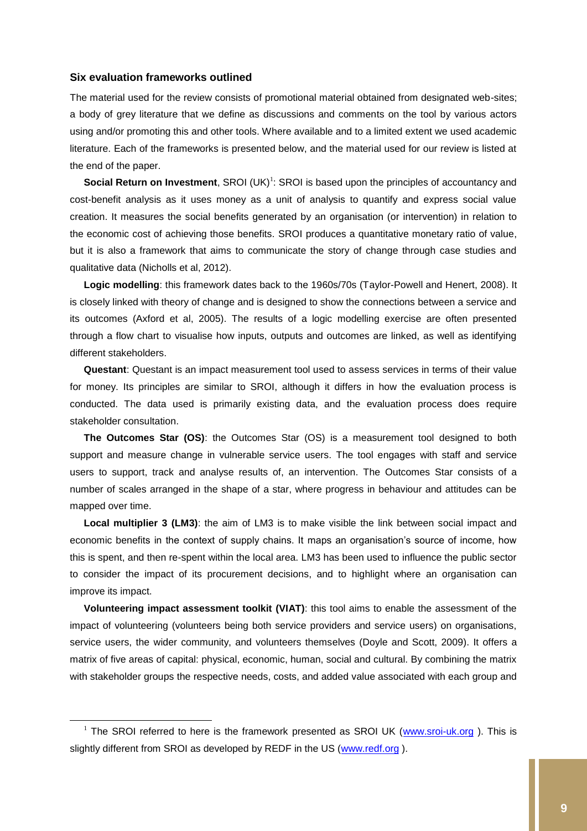#### <span id="page-9-0"></span>**Six evaluation frameworks outlined**

 $\overline{a}$ 

The material used for the review consists of promotional material obtained from designated web-sites; a body of grey literature that we define as discussions and comments on the tool by various actors using and/or promoting this and other tools. Where available and to a limited extent we used academic literature. Each of the frameworks is presented below, and the material used for our review is listed at the end of the paper.

**Social Return on Investment**, SROI (UK)<sup>1</sup>: SROI is based upon the principles of accountancy and cost-benefit analysis as it uses money as a unit of analysis to quantify and express social value creation. It measures the social benefits generated by an organisation (or intervention) in relation to the economic cost of achieving those benefits. SROI produces a quantitative monetary ratio of value, but it is also a framework that aims to communicate the story of change through case studies and qualitative data (Nicholls et al, 2012).

**Logic modelling**: this framework dates back to the 1960s/70s (Taylor-Powell and Henert, 2008). It is closely linked with theory of change and is designed to show the connections between a service and its outcomes (Axford et al, 2005). The results of a logic modelling exercise are often presented through a flow chart to visualise how inputs, outputs and outcomes are linked, as well as identifying different stakeholders.

**Questant**: Questant is an impact measurement tool used to assess services in terms of their value for money. Its principles are similar to SROI, although it differs in how the evaluation process is conducted. The data used is primarily existing data, and the evaluation process does require stakeholder consultation.

**The Outcomes Star (OS)**: the Outcomes Star (OS) is a measurement tool designed to both support and measure change in vulnerable service users. The tool engages with staff and service users to support, track and analyse results of, an intervention. The Outcomes Star consists of a number of scales arranged in the shape of a star, where progress in behaviour and attitudes can be mapped over time.

**Local multiplier 3 (LM3)**: the aim of LM3 is to make visible the link between social impact and economic benefits in the context of supply chains. It maps an organisation's source of income, how this is spent, and then re-spent within the local area. LM3 has been used to influence the public sector to consider the impact of its procurement decisions, and to highlight where an organisation can improve its impact.

**Volunteering impact assessment toolkit (VIAT)**: this tool aims to enable the assessment of the impact of volunteering (volunteers being both service providers and service users) on organisations, service users, the wider community, and volunteers themselves (Doyle and Scott, 2009). It offers a matrix of five areas of capital: physical, economic, human, social and cultural. By combining the matrix with stakeholder groups the respective needs, costs, and added value associated with each group and

<sup>&</sup>lt;sup>1</sup> The SROI referred to here is the framework presented as SROI UK [\(www.sroi-uk.org](http://www.sroi-uk.org/)). This is slightly different from SROI as developed by REDF in the US [\(www.redf.org](http://www.redf.org/)).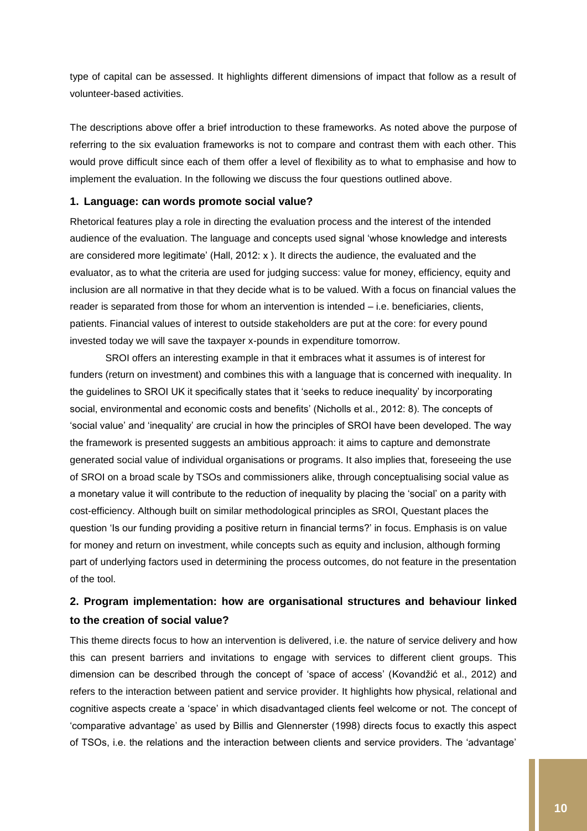type of capital can be assessed. It highlights different dimensions of impact that follow as a result of volunteer-based activities.

The descriptions above offer a brief introduction to these frameworks. As noted above the purpose of referring to the six evaluation frameworks is not to compare and contrast them with each other. This would prove difficult since each of them offer a level of flexibility as to what to emphasise and how to implement the evaluation. In the following we discuss the four questions outlined above.

#### <span id="page-10-0"></span>**1. Language: can words promote social value?**

Rhetorical features play a role in directing the evaluation process and the interest of the intended audience of the evaluation. The language and concepts used signal 'whose knowledge and interests are considered more legitimate' (Hall, 2012: x ). It directs the audience, the evaluated and the evaluator, as to what the criteria are used for judging success: value for money, efficiency, equity and inclusion are all normative in that they decide what is to be valued. With a focus on financial values the reader is separated from those for whom an intervention is intended – i.e. beneficiaries, clients, patients. Financial values of interest to outside stakeholders are put at the core: for every pound invested today we will save the taxpayer x-pounds in expenditure tomorrow.

SROI offers an interesting example in that it embraces what it assumes is of interest for funders (return on investment) and combines this with a language that is concerned with inequality. In the guidelines to SROI UK it specifically states that it 'seeks to reduce inequality' by incorporating social, environmental and economic costs and benefits' (Nicholls et al., 2012: 8). The concepts of 'social value' and 'inequality' are crucial in how the principles of SROI have been developed. The way the framework is presented suggests an ambitious approach: it aims to capture and demonstrate generated social value of individual organisations or programs. It also implies that, foreseeing the use of SROI on a broad scale by TSOs and commissioners alike, through conceptualising social value as a monetary value it will contribute to the reduction of inequality by placing the 'social' on a parity with cost-efficiency. Although built on similar methodological principles as SROI, Questant places the question 'Is our funding providing a positive return in financial terms?' in focus. Emphasis is on value for money and return on investment, while concepts such as equity and inclusion, although forming part of underlying factors used in determining the process outcomes, do not feature in the presentation of the tool.

## <span id="page-10-1"></span>**2. Program implementation: how are organisational structures and behaviour linked to the creation of social value?**

This theme directs focus to how an intervention is delivered, i.e. the nature of service delivery and how this can present barriers and invitations to engage with services to different client groups. This dimension can be described through the concept of 'space of access' (Kovandžić et al., 2012) and refers to the interaction between patient and service provider. It highlights how physical, relational and cognitive aspects create a 'space' in which disadvantaged clients feel welcome or not. The concept of 'comparative advantage' as used by Billis and Glennerster (1998) directs focus to exactly this aspect of TSOs, i.e. the relations and the interaction between clients and service providers. The 'advantage'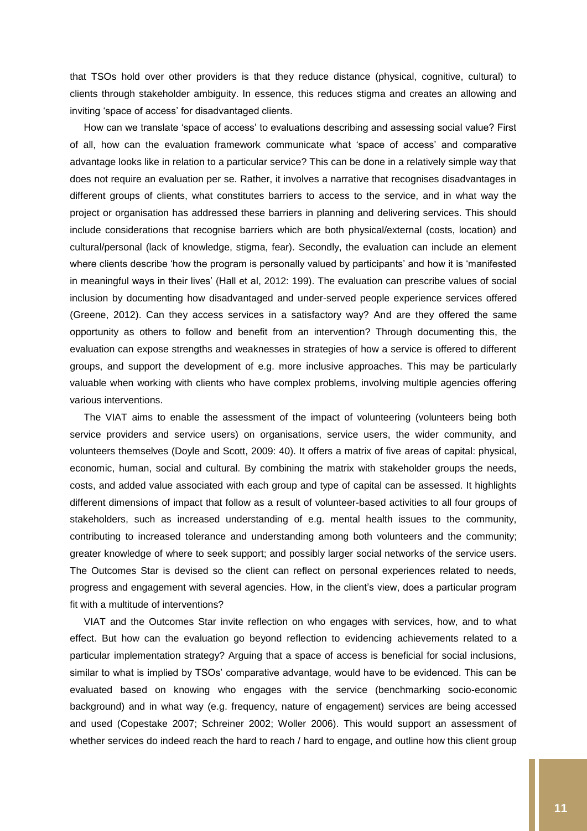that TSOs hold over other providers is that they reduce distance (physical, cognitive, cultural) to clients through stakeholder ambiguity. In essence, this reduces stigma and creates an allowing and inviting 'space of access' for disadvantaged clients.

How can we translate 'space of access' to evaluations describing and assessing social value? First of all, how can the evaluation framework communicate what 'space of access' and comparative advantage looks like in relation to a particular service? This can be done in a relatively simple way that does not require an evaluation per se. Rather, it involves a narrative that recognises disadvantages in different groups of clients, what constitutes barriers to access to the service, and in what way the project or organisation has addressed these barriers in planning and delivering services. This should include considerations that recognise barriers which are both physical/external (costs, location) and cultural/personal (lack of knowledge, stigma, fear). Secondly, the evaluation can include an element where clients describe 'how the program is personally valued by participants' and how it is 'manifested in meaningful ways in their lives' (Hall et al, 2012: 199). The evaluation can prescribe values of social inclusion by documenting how disadvantaged and under-served people experience services offered (Greene, 2012). Can they access services in a satisfactory way? And are they offered the same opportunity as others to follow and benefit from an intervention? Through documenting this, the evaluation can expose strengths and weaknesses in strategies of how a service is offered to different groups, and support the development of e.g. more inclusive approaches. This may be particularly valuable when working with clients who have complex problems, involving multiple agencies offering various interventions.

The VIAT aims to enable the assessment of the impact of volunteering (volunteers being both service providers and service users) on organisations, service users, the wider community, and volunteers themselves (Doyle and Scott, 2009: 40). It offers a matrix of five areas of capital: physical, economic, human, social and cultural. By combining the matrix with stakeholder groups the needs, costs, and added value associated with each group and type of capital can be assessed. It highlights different dimensions of impact that follow as a result of volunteer-based activities to all four groups of stakeholders, such as increased understanding of e.g. mental health issues to the community, contributing to increased tolerance and understanding among both volunteers and the community; greater knowledge of where to seek support; and possibly larger social networks of the service users. The Outcomes Star is devised so the client can reflect on personal experiences related to needs, progress and engagement with several agencies. How, in the client's view, does a particular program fit with a multitude of interventions?

VIAT and the Outcomes Star invite reflection on who engages with services, how, and to what effect. But how can the evaluation go beyond reflection to evidencing achievements related to a particular implementation strategy? Arguing that a space of access is beneficial for social inclusions, similar to what is implied by TSOs' comparative advantage, would have to be evidenced. This can be evaluated based on knowing who engages with the service (benchmarking socio-economic background) and in what way (e.g. frequency, nature of engagement) services are being accessed and used (Copestake 2007; Schreiner 2002; Woller 2006). This would support an assessment of whether services do indeed reach the hard to reach / hard to engage, and outline how this client group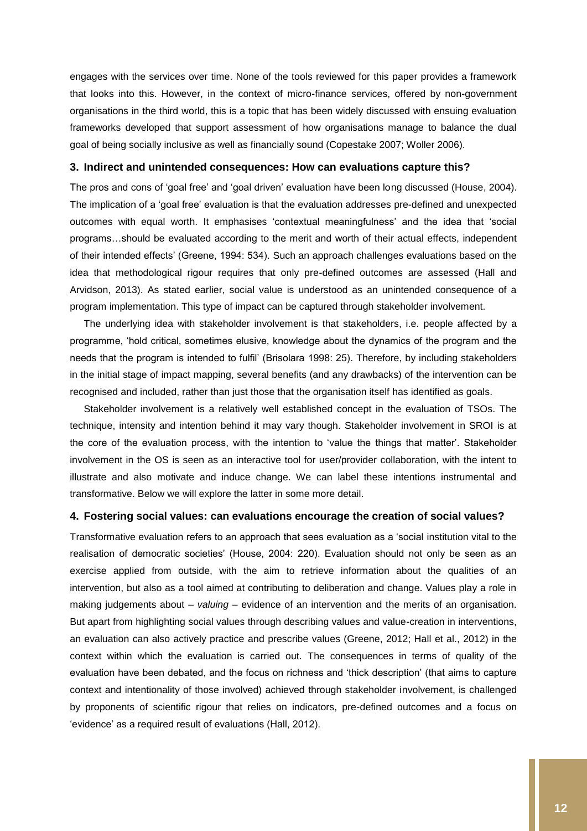engages with the services over time. None of the tools reviewed for this paper provides a framework that looks into this. However, in the context of micro-finance services, offered by non-government organisations in the third world, this is a topic that has been widely discussed with ensuing evaluation frameworks developed that support assessment of how organisations manage to balance the dual goal of being socially inclusive as well as financially sound (Copestake 2007; Woller 2006).

#### <span id="page-12-0"></span>**3. Indirect and unintended consequences: How can evaluations capture this?**

The pros and cons of 'goal free' and 'goal driven' evaluation have been long discussed (House, 2004). The implication of a 'goal free' evaluation is that the evaluation addresses pre-defined and unexpected outcomes with equal worth. It emphasises 'contextual meaningfulness' and the idea that 'social programs…should be evaluated according to the merit and worth of their actual effects, independent of their intended effects' (Greene, 1994: 534). Such an approach challenges evaluations based on the idea that methodological rigour requires that only pre-defined outcomes are assessed (Hall and Arvidson, 2013). As stated earlier, social value is understood as an unintended consequence of a program implementation. This type of impact can be captured through stakeholder involvement.

The underlying idea with stakeholder involvement is that stakeholders, i.e. people affected by a programme, 'hold critical, sometimes elusive, knowledge about the dynamics of the program and the needs that the program is intended to fulfil' (Brisolara 1998: 25). Therefore, by including stakeholders in the initial stage of impact mapping, several benefits (and any drawbacks) of the intervention can be recognised and included, rather than just those that the organisation itself has identified as goals.

Stakeholder involvement is a relatively well established concept in the evaluation of TSOs. The technique, intensity and intention behind it may vary though. Stakeholder involvement in SROI is at the core of the evaluation process, with the intention to 'value the things that matter'. Stakeholder involvement in the OS is seen as an interactive tool for user/provider collaboration, with the intent to illustrate and also motivate and induce change. We can label these intentions instrumental and transformative. Below we will explore the latter in some more detail.

#### <span id="page-12-1"></span>**4. Fostering social values: can evaluations encourage the creation of social values?**

Transformative evaluation refers to an approach that sees evaluation as a 'social institution vital to the realisation of democratic societies' (House, 2004: 220). Evaluation should not only be seen as an exercise applied from outside, with the aim to retrieve information about the qualities of an intervention, but also as a tool aimed at contributing to deliberation and change. Values play a role in making judgements about – *valuing* – evidence of an intervention and the merits of an organisation. But apart from highlighting social values through describing values and value-creation in interventions, an evaluation can also actively practice and prescribe values (Greene, 2012; Hall et al., 2012) in the context within which the evaluation is carried out. The consequences in terms of quality of the evaluation have been debated, and the focus on richness and 'thick description' (that aims to capture context and intentionality of those involved) achieved through stakeholder involvement, is challenged by proponents of scientific rigour that relies on indicators, pre-defined outcomes and a focus on 'evidence' as a required result of evaluations (Hall, 2012).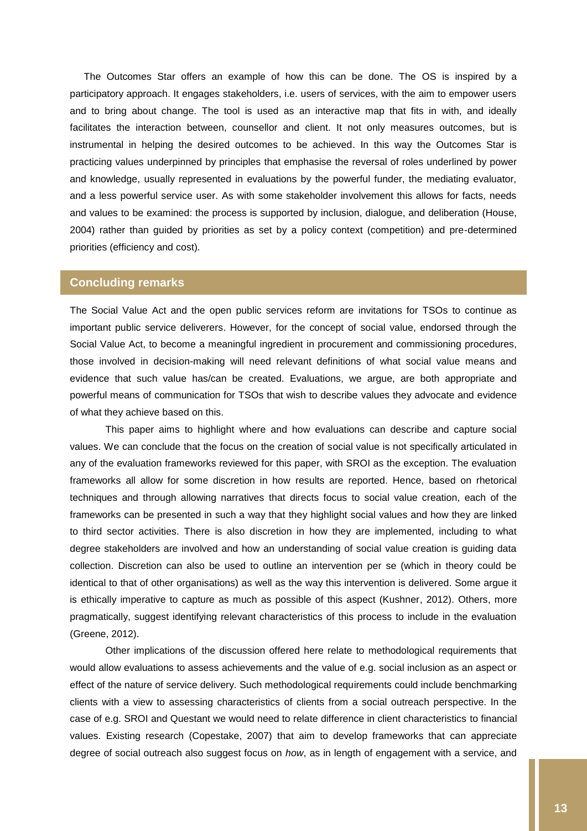The Outcomes Star offers an example of how this can be done. The OS is inspired by a participatory approach. It engages stakeholders, i.e. users of services, with the aim to empower users and to bring about change. The tool is used as an interactive map that fits in with, and ideally facilitates the interaction between, counsellor and client. It not only measures outcomes, but is instrumental in helping the desired outcomes to be achieved. In this way the Outcomes Star is practicing values underpinned by principles that emphasise the reversal of roles underlined by power and knowledge, usually represented in evaluations by the powerful funder, the mediating evaluator, and a less powerful service user. As with some stakeholder involvement this allows for facts, needs and values to be examined: the process is supported by inclusion, dialogue, and deliberation (House, 2004) rather than guided by priorities as set by a policy context (competition) and pre-determined priorities (efficiency and cost).

#### <span id="page-13-0"></span>**Concluding remarks**

The Social Value Act and the open public services reform are invitations for TSOs to continue as important public service deliverers. However, for the concept of social value, endorsed through the Social Value Act, to become a meaningful ingredient in procurement and commissioning procedures, those involved in decision-making will need relevant definitions of what social value means and evidence that such value has/can be created. Evaluations, we argue, are both appropriate and powerful means of communication for TSOs that wish to describe values they advocate and evidence of what they achieve based on this.

This paper aims to highlight where and how evaluations can describe and capture social values. We can conclude that the focus on the creation of social value is not specifically articulated in any of the evaluation frameworks reviewed for this paper, with SROI as the exception. The evaluation frameworks all allow for some discretion in how results are reported. Hence, based on rhetorical techniques and through allowing narratives that directs focus to social value creation, each of the frameworks can be presented in such a way that they highlight social values and how they are linked to third sector activities. There is also discretion in how they are implemented, including to what degree stakeholders are involved and how an understanding of social value creation is guiding data collection. Discretion can also be used to outline an intervention per se (which in theory could be identical to that of other organisations) as well as the way this intervention is delivered. Some argue it is ethically imperative to capture as much as possible of this aspect (Kushner, 2012). Others, more pragmatically, suggest identifying relevant characteristics of this process to include in the evaluation (Greene, 2012).

Other implications of the discussion offered here relate to methodological requirements that would allow evaluations to assess achievements and the value of e.g. social inclusion as an aspect or effect of the nature of service delivery. Such methodological requirements could include benchmarking clients with a view to assessing characteristics of clients from a social outreach perspective. In the case of e.g. SROI and Questant we would need to relate difference in client characteristics to financial values. Existing research (Copestake, 2007) that aim to develop frameworks that can appreciate degree of social outreach also suggest focus on *how*, as in length of engagement with a service, and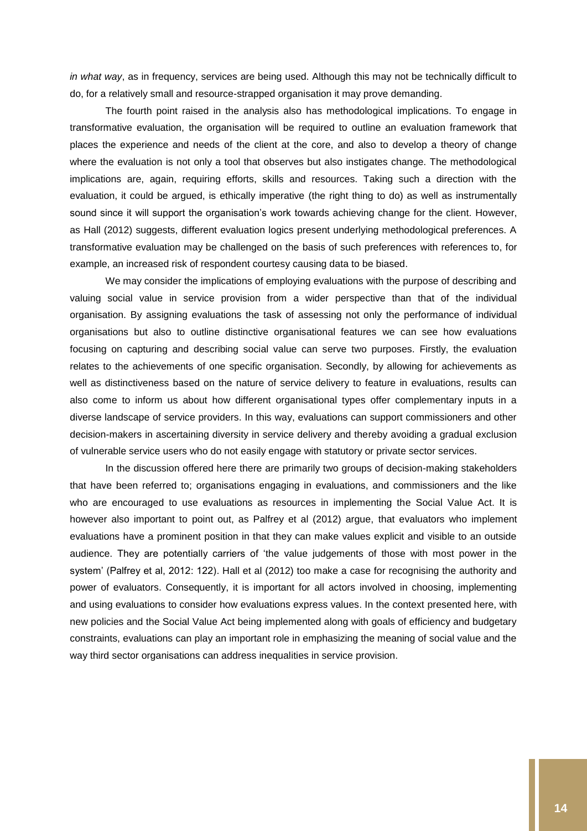*in what way*, as in frequency, services are being used. Although this may not be technically difficult to do, for a relatively small and resource-strapped organisation it may prove demanding.

The fourth point raised in the analysis also has methodological implications. To engage in transformative evaluation, the organisation will be required to outline an evaluation framework that places the experience and needs of the client at the core, and also to develop a theory of change where the evaluation is not only a tool that observes but also instigates change. The methodological implications are, again, requiring efforts, skills and resources. Taking such a direction with the evaluation, it could be argued, is ethically imperative (the right thing to do) as well as instrumentally sound since it will support the organisation's work towards achieving change for the client. However, as Hall (2012) suggests, different evaluation logics present underlying methodological preferences. A transformative evaluation may be challenged on the basis of such preferences with references to, for example, an increased risk of respondent courtesy causing data to be biased.

We may consider the implications of employing evaluations with the purpose of describing and valuing social value in service provision from a wider perspective than that of the individual organisation. By assigning evaluations the task of assessing not only the performance of individual organisations but also to outline distinctive organisational features we can see how evaluations focusing on capturing and describing social value can serve two purposes. Firstly, the evaluation relates to the achievements of one specific organisation. Secondly, by allowing for achievements as well as distinctiveness based on the nature of service delivery to feature in evaluations, results can also come to inform us about how different organisational types offer complementary inputs in a diverse landscape of service providers. In this way, evaluations can support commissioners and other decision-makers in ascertaining diversity in service delivery and thereby avoiding a gradual exclusion of vulnerable service users who do not easily engage with statutory or private sector services.

In the discussion offered here there are primarily two groups of decision-making stakeholders that have been referred to; organisations engaging in evaluations, and commissioners and the like who are encouraged to use evaluations as resources in implementing the Social Value Act. It is however also important to point out, as Palfrey et al (2012) argue, that evaluators who implement evaluations have a prominent position in that they can make values explicit and visible to an outside audience. They are potentially carriers of 'the value judgements of those with most power in the system' (Palfrey et al, 2012: 122). Hall et al (2012) too make a case for recognising the authority and power of evaluators. Consequently, it is important for all actors involved in choosing, implementing and using evaluations to consider how evaluations express values. In the context presented here, with new policies and the Social Value Act being implemented along with goals of efficiency and budgetary constraints, evaluations can play an important role in emphasizing the meaning of social value and the way third sector organisations can address inequalities in service provision.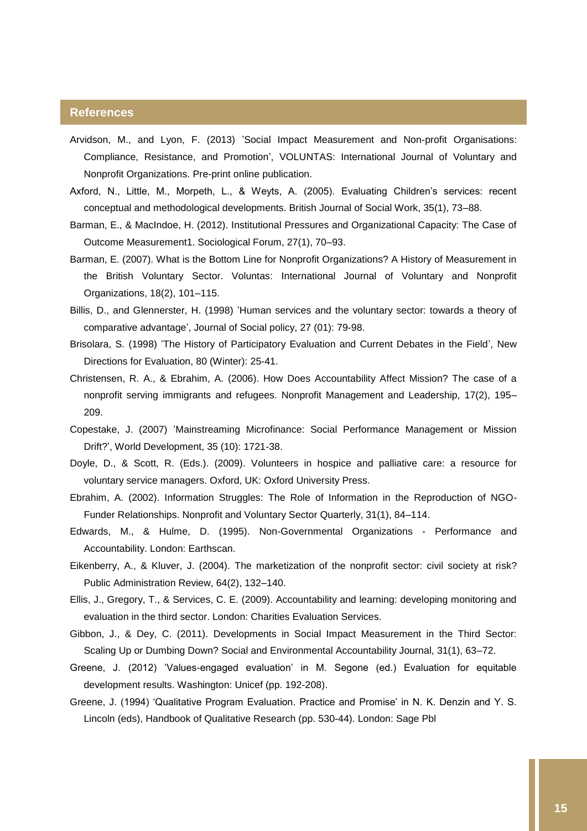#### <span id="page-15-0"></span>**References**

- Arvidson, M., and Lyon, F. (2013) 'Social Impact Measurement and Non-profit Organisations: Compliance, Resistance, and Promotion', VOLUNTAS: International Journal of Voluntary and Nonprofit Organizations. Pre-print online publication.
- Axford, N., Little, M., Morpeth, L., & Weyts, A. (2005). Evaluating Children's services: recent conceptual and methodological developments. British Journal of Social Work, 35(1), 73–88.
- Barman, E., & MacIndoe, H. (2012). Institutional Pressures and Organizational Capacity: The Case of Outcome Measurement1. Sociological Forum, 27(1), 70–93.
- Barman, E. (2007). What is the Bottom Line for Nonprofit Organizations? A History of Measurement in the British Voluntary Sector. Voluntas: International Journal of Voluntary and Nonprofit Organizations, 18(2), 101–115.
- Billis, D., and Glennerster, H. (1998) 'Human services and the voluntary sector: towards a theory of comparative advantage', Journal of Social policy, 27 (01): 79-98.
- Brisolara, S. (1998) 'The History of Participatory Evaluation and Current Debates in the Field', New Directions for Evaluation, 80 (Winter): 25-41.
- Christensen, R. A., & Ebrahim, A. (2006). How Does Accountability Affect Mission? The case of a nonprofit serving immigrants and refugees. Nonprofit Management and Leadership, 17(2), 195– 209.
- Copestake, J. (2007) 'Mainstreaming Microfinance: Social Performance Management or Mission Drift?', World Development, 35 (10): 1721-38.
- Doyle, D., & Scott, R. (Eds.). (2009). Volunteers in hospice and palliative care: a resource for voluntary service managers. Oxford, UK: Oxford University Press.
- Ebrahim, A. (2002). Information Struggles: The Role of Information in the Reproduction of NGO-Funder Relationships. Nonprofit and Voluntary Sector Quarterly, 31(1), 84–114.
- Edwards, M., & Hulme, D. (1995). Non-Governmental Organizations Performance and Accountability. London: Earthscan.
- Eikenberry, A., & Kluver, J. (2004). The marketization of the nonprofit sector: civil society at risk? Public Administration Review, 64(2), 132–140.
- Ellis, J., Gregory, T., & Services, C. E. (2009). Accountability and learning: developing monitoring and evaluation in the third sector. London: Charities Evaluation Services.
- Gibbon, J., & Dey, C. (2011). Developments in Social Impact Measurement in the Third Sector: Scaling Up or Dumbing Down? Social and Environmental Accountability Journal, 31(1), 63–72.
- Greene, J. (2012) 'Values-engaged evaluation' in M. Segone (ed.) Evaluation for equitable development results. Washington: Unicef (pp. 192-208).
- Greene, J. (1994) 'Qualitative Program Evaluation. Practice and Promise' in N. K. Denzin and Y. S. Lincoln (eds), Handbook of Qualitative Research (pp. 530-44). London: Sage Pbl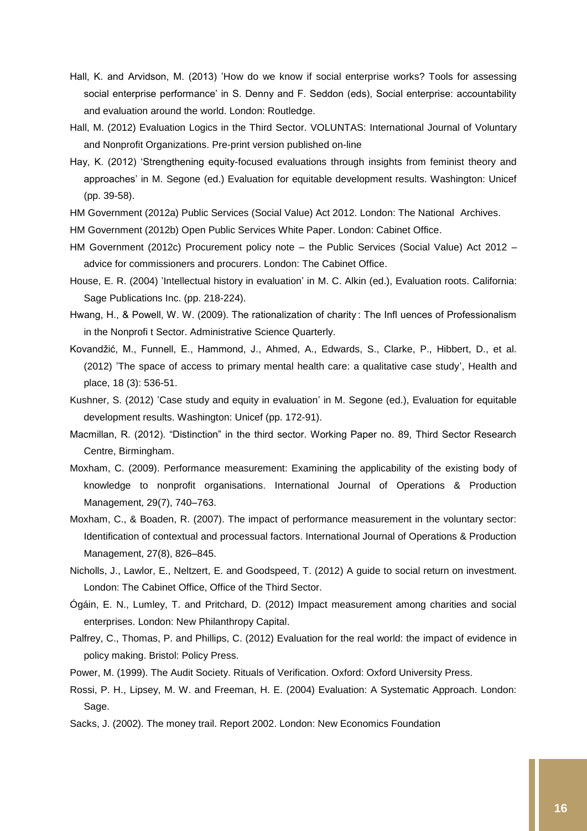- Hall, K. and Arvidson, M. (2013) 'How do we know if social enterprise works? Tools for assessing social enterprise performance' in S. Denny and F. Seddon (eds), Social enterprise: accountability and evaluation around the world. London: Routledge.
- Hall, M. (2012) Evaluation Logics in the Third Sector. VOLUNTAS: International Journal of Voluntary and Nonprofit Organizations. Pre-print version published on-line
- Hay, K. (2012) 'Strengthening equity-focused evaluations through insights from feminist theory and approaches' in M. Segone (ed.) Evaluation for equitable development results. Washington: Unicef (pp. 39-58).
- HM Government (2012a) Public Services (Social Value) Act 2012. London: The National Archives.
- HM Government (2012b) Open Public Services White Paper. London: Cabinet Office.
- HM Government (2012c) Procurement policy note the Public Services (Social Value) Act 2012 advice for commissioners and procurers. London: The Cabinet Office.
- House, E. R. (2004) 'Intellectual history in evaluation' in M. C. Alkin (ed.), Evaluation roots. California: Sage Publications Inc. (pp. 218-224).
- Hwang, H., & Powell, W. W. (2009). The rationalization of charity : The Infl uences of Professionalism in the Nonprofi t Sector. Administrative Science Quarterly.
- Kovandžić, M., Funnell, E., Hammond, J., Ahmed, A., Edwards, S., Clarke, P., Hibbert, D., et al. (2012) 'The space of access to primary mental health care: a qualitative case study', Health and place, 18 (3): 536-51.
- Kushner, S. (2012) 'Case study and equity in evaluation' in M. Segone (ed.), Evaluation for equitable development results. Washington: Unicef (pp. 172-91).
- Macmillan, R. (2012). "Distinction" in the third sector. Working Paper no. 89, Third Sector Research Centre, Birmingham.
- Moxham, C. (2009). Performance measurement: Examining the applicability of the existing body of knowledge to nonprofit organisations. International Journal of Operations & Production Management, 29(7), 740–763.
- Moxham, C., & Boaden, R. (2007). The impact of performance measurement in the voluntary sector: Identification of contextual and processual factors. International Journal of Operations & Production Management, 27(8), 826–845.
- Nicholls, J., Lawlor, E., Neltzert, E. and Goodspeed, T. (2012) A guide to social return on investment. London: The Cabinet Office, Office of the Third Sector.
- Ógáin, E. N., Lumley, T. and Pritchard, D. (2012) Impact measurement among charities and social enterprises. London: New Philanthropy Capital.
- Palfrey, C., Thomas, P. and Phillips, C. (2012) Evaluation for the real world: the impact of evidence in policy making. Bristol: Policy Press.
- Power, M. (1999). The Audit Society. Rituals of Verification. Oxford: Oxford University Press.
- Rossi, P. H., Lipsey, M. W. and Freeman, H. E. (2004) Evaluation: A Systematic Approach. London: Sage.
- Sacks, J. (2002). The money trail. Report 2002. London: New Economics Foundation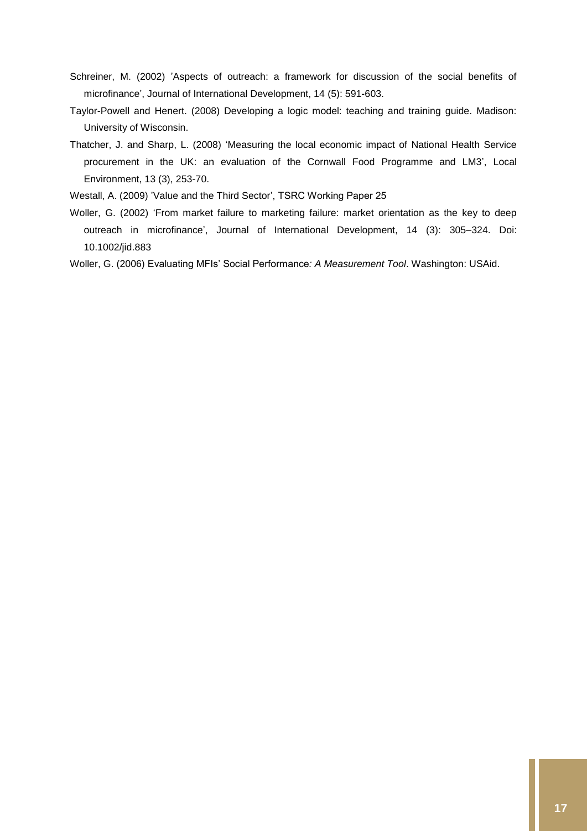- Schreiner, M. (2002) 'Aspects of outreach: a framework for discussion of the social benefits of microfinance', Journal of International Development, 14 (5): 591-603.
- Taylor-Powell and Henert. (2008) Developing a logic model: teaching and training guide. Madison: University of Wisconsin.
- Thatcher, J. and Sharp, L. (2008) 'Measuring the local economic impact of National Health Service procurement in the UK: an evaluation of the Cornwall Food Programme and LM3', Local Environment, 13 (3), 253-70.
- Westall, A. (2009) 'Value and the Third Sector', TSRC Working Paper 25
- Woller, G. (2002) 'From market failure to marketing failure: market orientation as the key to deep outreach in microfinance', Journal of International Development, 14 (3): 305–324. Doi: 10.1002/jid.883
- Woller, G. (2006) Evaluating MFIs' Social Performance*: A Measurement Tool*. Washington: USAid.